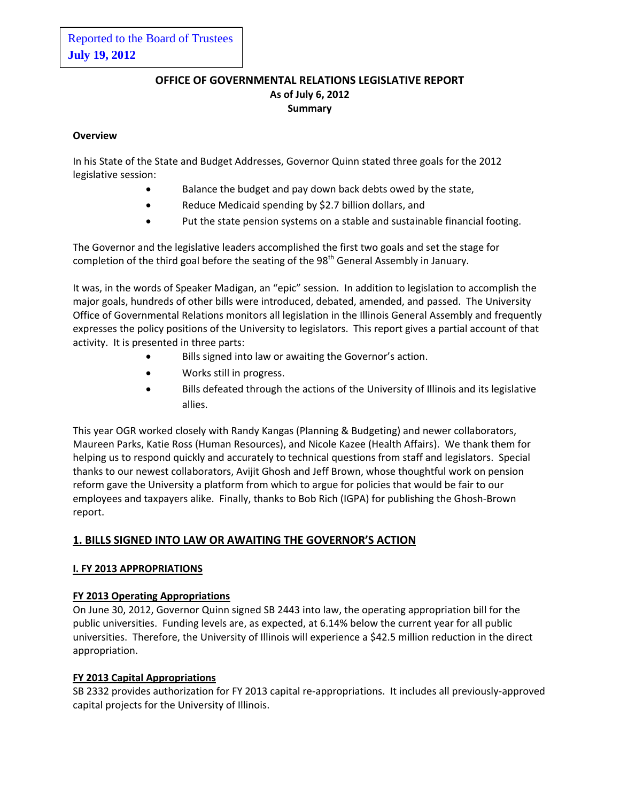# **OFFICE OF GOVERNMENTAL RELATIONS LEGISLATIVE REPORT As of July 6, 2012 Summary**

# **Overview**

In his State of the State and Budget Addresses, Governor Quinn stated three goals for the 2012 legislative session:

- Balance the budget and pay down back debts owed by the state,
- Reduce Medicaid spending by \$2.7 billion dollars, and
- Put the state pension systems on a stable and sustainable financial footing.

The Governor and the legislative leaders accomplished the first two goals and set the stage for completion of the third goal before the seating of the 98<sup>th</sup> General Assembly in January.

It was, in the words of Speaker Madigan, an "epic" session. In addition to legislation to accomplish the major goals, hundreds of other bills were introduced, debated, amended, and passed. The University Office of Governmental Relations monitors all legislation in the Illinois General Assembly and frequently expresses the policy positions of the University to legislators. This report gives a partial account of that activity. It is presented in three parts:

- Bills signed into law or awaiting the Governor's action.
- Works still in progress.
- Bills defeated through the actions of the University of Illinois and its legislative allies.

This year OGR worked closely with Randy Kangas (Planning & Budgeting) and newer collaborators, Maureen Parks, Katie Ross (Human Resources), and Nicole Kazee (Health Affairs). We thank them for helping us to respond quickly and accurately to technical questions from staff and legislators. Special thanks to our newest collaborators, Avijit Ghosh and Jeff Brown, whose thoughtful work on pension reform gave the University a platform from which to argue for policies that would be fair to our employees and taxpayers alike. Finally, thanks to Bob Rich (IGPA) for publishing the Ghosh-Brown report.

# **1. BILLS SIGNED INTO LAW OR AWAITING THE GOVERNOR'S ACTION**

# **I. FY 2013 APPROPRIATIONS**

# **FY 2013 Operating Appropriations**

On June 30, 2012, Governor Quinn signed SB 2443 into law, the operating appropriation bill for the public universities. Funding levels are, as expected, at 6.14% below the current year for all public universities. Therefore, the University of Illinois will experience a \$42.5 million reduction in the direct appropriation.

# **FY 2013 Capital Appropriations**

SB 2332 provides authorization for FY 2013 capital re-appropriations. It includes all previously-approved capital projects for the University of Illinois.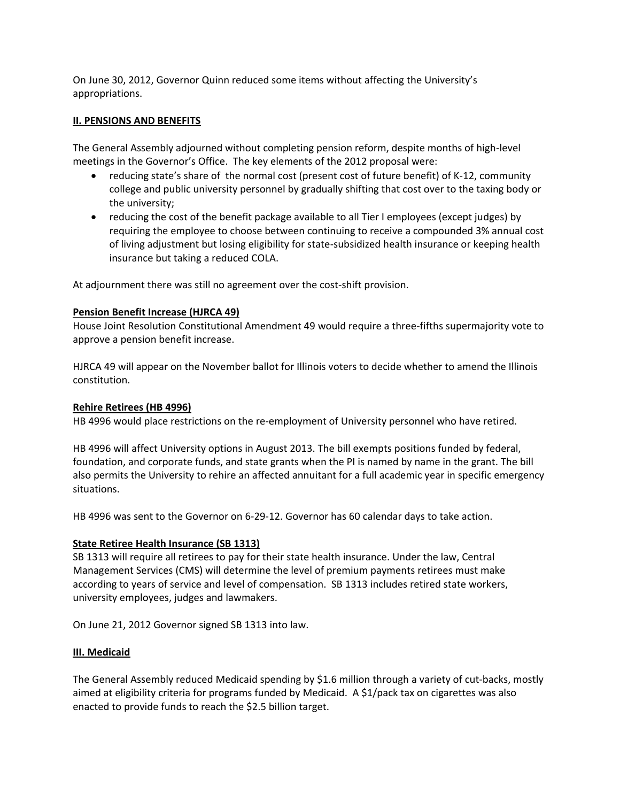On June 30, 2012, Governor Quinn reduced some items without affecting the University's appropriations.

# **II. PENSIONS AND BENEFITS**

The General Assembly adjourned without completing pension reform, despite months of high-level meetings in the Governor's Office. The key elements of the 2012 proposal were:

- reducing state's share of the normal cost (present cost of future benefit) of K-12, community college and public university personnel by gradually shifting that cost over to the taxing body or the university;
- reducing the cost of the benefit package available to all Tier I employees (except judges) by requiring the employee to choose between continuing to receive a compounded 3% annual cost of living adjustment but losing eligibility for state-subsidized health insurance or keeping health insurance but taking a reduced COLA.

At adjournment there was still no agreement over the cost-shift provision.

# **Pension Benefit Increase (HJRCA 49)**

House Joint Resolution Constitutional Amendment 49 would require a three-fifths supermajority vote to approve a pension benefit increase.

HJRCA 49 will appear on the November ballot for Illinois voters to decide whether to amend the Illinois constitution.

# **Rehire Retirees (HB 4996)**

HB 4996 would place restrictions on the re-employment of University personnel who have retired.

HB 4996 will affect University options in August 2013. The bill exempts positions funded by federal, foundation, and corporate funds, and state grants when the PI is named by name in the grant. The bill also permits the University to rehire an affected annuitant for a full academic year in specific emergency situations.

HB 4996 was sent to the Governor on 6-29-12. Governor has 60 calendar days to take action.

# **State Retiree Health Insurance (SB 1313)**

SB 1313 will require all retirees to pay for their state health insurance. Under the law, Central Management Services (CMS) will determine the level of premium payments retirees must make according to years of service and level of compensation. SB 1313 includes retired state workers, university employees, judges and lawmakers.

On June 21, 2012 Governor signed SB 1313 into law.

# **III. Medicaid**

The General Assembly reduced Medicaid spending by \$1.6 million through a variety of cut-backs, mostly aimed at eligibility criteria for programs funded by Medicaid. A \$1/pack tax on cigarettes was also enacted to provide funds to reach the \$2.5 billion target.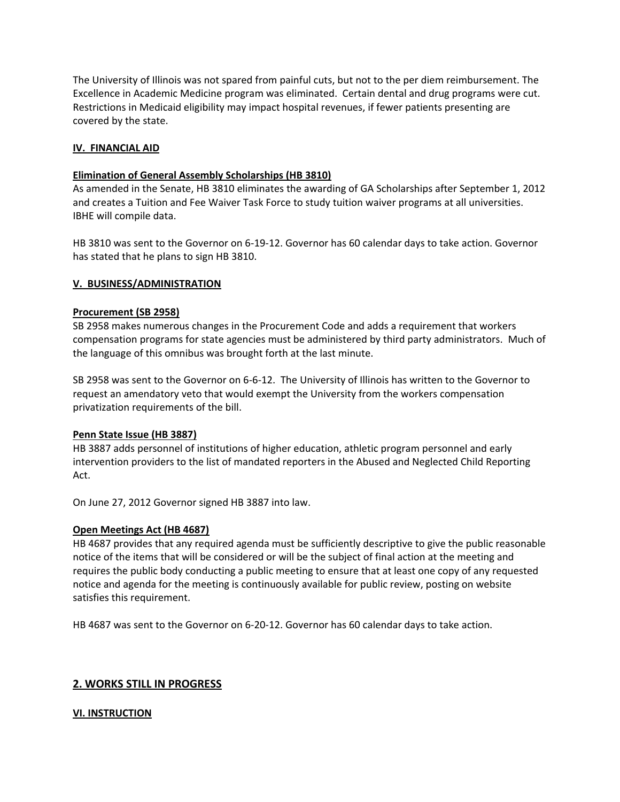The University of Illinois was not spared from painful cuts, but not to the per diem reimbursement. The Excellence in Academic Medicine program was eliminated. Certain dental and drug programs were cut. Restrictions in Medicaid eligibility may impact hospital revenues, if fewer patients presenting are covered by the state.

# **IV. FINANCIAL AID**

#### **Elimination of General Assembly Scholarships (HB 3810)**

As amended in the Senate, HB 3810 eliminates the awarding of GA Scholarships after September 1, 2012 and creates a Tuition and Fee Waiver Task Force to study tuition waiver programs at all universities. IBHE will compile data.

HB 3810 was sent to the Governor on 6-19-12. Governor has 60 calendar days to take action. Governor has stated that he plans to sign HB 3810.

#### **V. BUSINESS/ADMINISTRATION**

#### **Procurement (SB 2958)**

SB 2958 makes numerous changes in the Procurement Code and adds a requirement that workers compensation programs for state agencies must be administered by third party administrators. Much of the language of this omnibus was brought forth at the last minute.

SB 2958 was sent to the Governor on 6-6-12. The University of Illinois has written to the Governor to request an amendatory veto that would exempt the University from the workers compensation privatization requirements of the bill.

#### **Penn State Issue (HB 3887)**

HB 3887 adds personnel of institutions of higher education, athletic program personnel and early intervention providers to the list of mandated reporters in the Abused and Neglected Child Reporting Act.

On June 27, 2012 Governor signed HB 3887 into law.

#### **Open Meetings Act (HB 4687)**

HB 4687 provides that any required agenda must be sufficiently descriptive to give the public reasonable notice of the items that will be considered or will be the subject of final action at the meeting and requires the public body conducting a public meeting to ensure that at least one copy of any requested notice and agenda for the meeting is continuously available for public review, posting on website satisfies this requirement.

HB 4687 was sent to the Governor on 6-20-12. Governor has 60 calendar days to take action.

# **2. WORKS STILL IN PROGRESS**

# **VI. INSTRUCTION**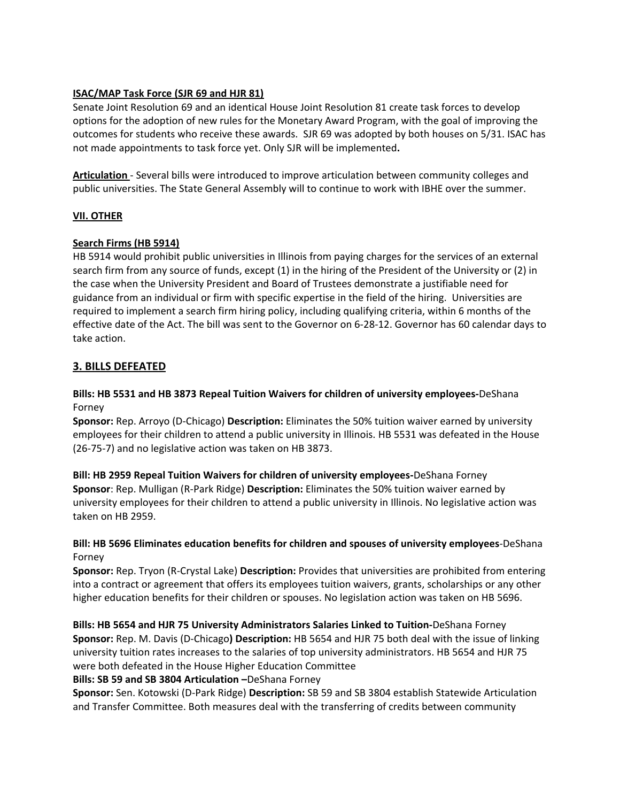# **ISAC/MAP Task Force (SJR 69 and HJR 81)**

Senate Joint Resolution 69 and an identical House Joint Resolution 81 create task forces to develop options for the adoption of new rules for the Monetary Award Program, with the goal of improving the outcomes for students who receive these awards. SJR 69 was adopted by both houses on 5/31. ISAC has not made appointments to task force yet. Only SJR will be implemented**.** 

**Articulation** - Several bills were introduced to improve articulation between community colleges and public universities. The State General Assembly will to continue to work with IBHE over the summer.

# **VII. OTHER**

# **Search Firms (HB 5914)**

HB 5914 would prohibit public universities in Illinois from paying charges for the services of an external search firm from any source of funds, except (1) in the hiring of the President of the University or (2) in the case when the University President and Board of Trustees demonstrate a justifiable need for guidance from an individual or firm with specific expertise in the field of the hiring. Universities are required to implement a search firm hiring policy, including qualifying criteria, within 6 months of the effective date of the Act. The bill was sent to the Governor on 6-28-12. Governor has 60 calendar days to take action.

# **3. BILLS DEFEATED**

# **Bills: HB 5531 and HB 3873 Repeal Tuition Waivers for children of university employees-**DeShana Forney

**Sponsor:** Rep. Arroyo (D-Chicago) **Description:** Eliminates the 50% tuition waiver earned by university employees for their children to attend a public university in Illinois. HB 5531 was defeated in the House (26-75-7) and no legislative action was taken on HB 3873.

**Bill: HB 2959 Repeal Tuition Waivers for children of university employees-**DeShana Forney **Sponsor**: Rep. Mulligan (R-Park Ridge) **Description:** Eliminates the 50% tuition waiver earned by university employees for their children to attend a public university in Illinois. No legislative action was taken on HB 2959.

# **Bill: HB 5696 Eliminates education benefits for children and spouses of university employees**-DeShana Forney

**Sponsor:** Rep. Tryon (R-Crystal Lake) **Description:** Provides that universities are prohibited from entering into a contract or agreement that offers its employees tuition waivers, grants, scholarships or any other higher education benefits for their children or spouses. No legislation action was taken on HB 5696.

**Bills: HB 5654 and HJR 75 University Administrators Salaries Linked to Tuition-**DeShana Forney **Sponsor:** Rep. M. Davis (D-Chicago**) Description:** HB 5654 and HJR 75 both deal with the issue of linking university tuition rates increases to the salaries of top university administrators. HB 5654 and HJR 75 were both defeated in the House Higher Education Committee

#### **Bills: SB 59 and SB 3804 Articulation –**DeShana Forney

**Sponsor:** Sen. Kotowski (D-Park Ridge) **Description:** SB 59 and SB 3804 establish Statewide Articulation and Transfer Committee. Both measures deal with the transferring of credits between community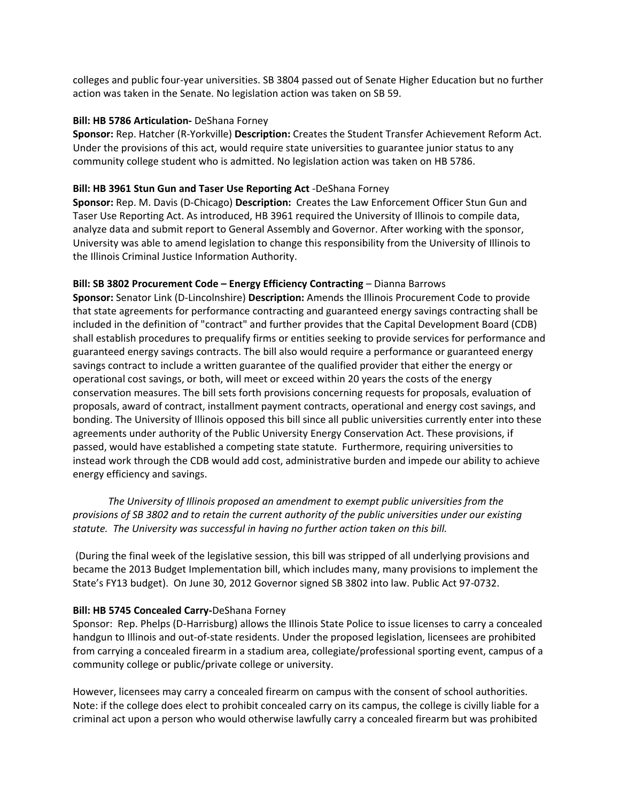colleges and public four-year universities. SB 3804 passed out of Senate Higher Education but no further action was taken in the Senate. No legislation action was taken on SB 59.

### **Bill: HB 5786 Articulation-** DeShana Forney

**Sponsor:** Rep. Hatcher (R-Yorkville) **Description:** Creates the Student Transfer Achievement Reform Act. Under the provisions of this act, would require state universities to guarantee junior status to any community college student who is admitted. No legislation action was taken on HB 5786.

# **Bill: HB 3961 Stun Gun and Taser Use Reporting Act** -DeShana Forney

**Sponsor:** Rep. M. Davis (D-Chicago) **Description:** Creates the Law Enforcement Officer Stun Gun and Taser Use Reporting Act. As introduced, HB 3961 required the University of Illinois to compile data, analyze data and submit report to General Assembly and Governor. After working with the sponsor, University was able to amend legislation to change this responsibility from the University of Illinois to the Illinois Criminal Justice Information Authority.

# **Bill: SB 3802 Procurement Code – Energy Efficiency Contracting** – Dianna Barrows

**Sponsor:** Senator Link (D-Lincolnshire) **Description:** Amends the Illinois Procurement Code to provide that state agreements for performance contracting and guaranteed energy savings contracting shall be included in the definition of "contract" and further provides that the Capital Development Board (CDB) shall establish procedures to prequalify firms or entities seeking to provide services for performance and guaranteed energy savings contracts. The bill also would require a performance or guaranteed energy savings contract to include a written guarantee of the qualified provider that either the energy or operational cost savings, or both, will meet or exceed within 20 years the costs of the energy conservation measures. The bill sets forth provisions concerning requests for proposals, evaluation of proposals, award of contract, installment payment contracts, operational and energy cost savings, and bonding. The University of Illinois opposed this bill since all public universities currently enter into these agreements under authority of the Public University Energy Conservation Act. These provisions, if passed, would have established a competing state statute. Furthermore, requiring universities to instead work through the CDB would add cost, administrative burden and impede our ability to achieve energy efficiency and savings.

 *The University of Illinois proposed an amendment to exempt public universities from the provisions of SB 3802 and to retain the current authority of the public universities under our existing statute. The University was successful in having no further action taken on this bill.* 

(During the final week of the legislative session, this bill was stripped of all underlying provisions and became the 2013 Budget Implementation bill, which includes many, many provisions to implement the State's FY13 budget). On June 30, 2012 Governor signed SB 3802 into law. Public Act 97-0732.

# **Bill: HB 5745 Concealed Carry-**DeShana Forney

Sponsor: Rep. Phelps (D-Harrisburg) allows the Illinois State Police to issue licenses to carry a concealed handgun to Illinois and out-of-state residents. Under the proposed legislation, licensees are prohibited from carrying a concealed firearm in a stadium area, collegiate/professional sporting event, campus of a community college or public/private college or university.

However, licensees may carry a concealed firearm on campus with the consent of school authorities. Note: if the college does elect to prohibit concealed carry on its campus, the college is civilly liable for a criminal act upon a person who would otherwise lawfully carry a concealed firearm but was prohibited